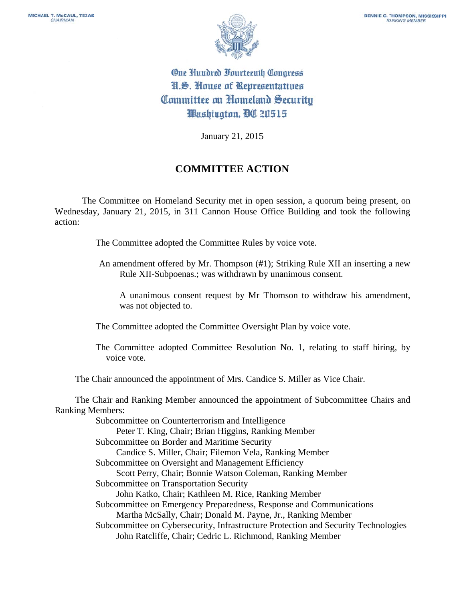

One Hundred Fourteenth Congress H.S. House of Representatives Committee on Homeland Security Washington, DC 20515

January 21, 2015

## **COMMITTEE ACTION**

The Committee on Homeland Security met in open session, a quorum being present, on Wednesday, January 21, 2015, in 311 Cannon House Office Building and took the following action:

The Committee adopted the Committee Rules by voice vote.

An amendment offered by Mr. Thompson (#1); Striking Rule XII an inserting a new Rule XII-Subpoenas.; was withdrawn by unanimous consent.

A unanimous consent request by Mr Thomson to withdraw his amendment, was not objected to.

The Committee adopted the Committee Oversight Plan by voice vote.

The Committee adopted Committee Resolution No. 1, relating to staff hiring, by voice vote.

The Chair announced the appointment of Mrs. Candice S. Miller as Vice Chair.

The Chair and Ranking Member announced the appointment of Subcommittee Chairs and **Ranking Members:** 

> Subcommittee on Counterterrorism and Intelligence Peter T. King, Chair; Brian Higgins, Ranking Member Subcommittee on Border and Maritime Security Candice S. Miller, Chair; Filemon Vela, Ranking Member Subcommittee on Oversight and Management Efficiency Scott Perry, Chair; Bonnie Watson Coleman, Ranking Member Subcommittee on Transportation Security John Katko, Chair; Kathleen M. Rice, Ranking Member Subcommittee on Emergency Preparedness, Response and Communications Martha McSally, Chair; Donald M. Payne, Jr., Ranking Member Subcommittee on Cybersecurity, Infrastructure Protection and Security Technologies John Ratcliffe, Chair; Cedric L. Richmond, Ranking Member